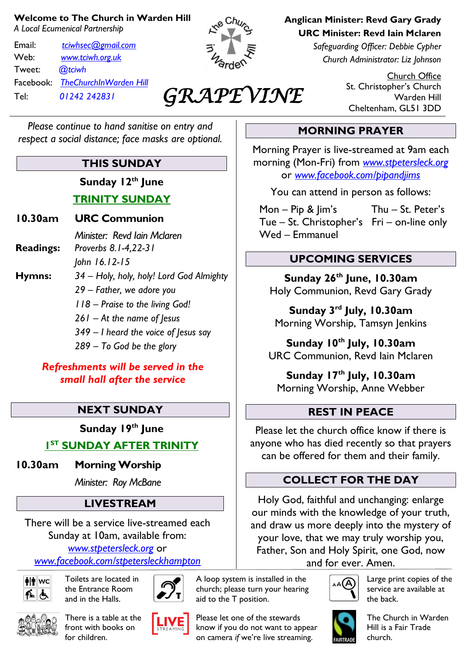#### **Welcome to The Church in Warden Hill**

*A Local Ecumenical Partnership*

Email: *[tciwhsec@gmail.com](mailto:tciwhsec@gmail.com)* Web: *[www.tciwh.org.uk](http://www.tciwh.org.uk/)* Tweet: *@tciwh* Facebook: *TheChurchInWarden Hill* Tel: *01242 242831*



# *GRAPEVINE*

**Anglican Minister: Revd Gary Grady URC Minister: Revd Iain Mclaren**

> *Safeguarding Officer: Debbie Cypher Church Administrator: Liz Johnson*

> > Church Office St. Christopher's Church Warden Hill Cheltenham, GL51 3DD

#### *Please continue to hand sanitise on entry and respect a social distance; face masks are optional.*

# **THIS SUNDAY**

**Sunday 12th June TRINITY SUNDAY**

#### **10.30am URC Communion**

*Minister: Revd Iain Mclaren* **Readings:** *Proverbs 8.1-4,22-31 John 16.12-15* **Hymns:** *34 – Holy, holy, holy! Lord God Almighty 29 – Father, we adore you 118 – Praise to the living God! 261 – At the name of Jesus 349 – I heard the voice of Jesus say 289 – To God be the glory*

#### *Refreshments will be served in the small hall after the service*

# **NEXT SUNDAY**

**Sunday 19 th June**

# **1 ST SUNDAY AFTER TRINITY**

**10.30am Morning Worship**

*Minister: Roy McBane*

# **LIVESTREAM**

There will be a service live-streamed each Sunday at 10am, available from:

*[www.stpetersleck.org](http://www.stpetersleck.org/)* or *[www.facebook.com/stpetersleckhampton](http://www.facebook.com/stpetersleckhampton)*



Toilets are located in the Entrance Room and in the Halls.



There is a table at the front with books on for children.





church; please turn your hearing aid to the T position. Please let one of the stewards

A loop system is installed in the

know if you do not want to appear on camera *if* we're live streaming.

#### **MORNING PRAYER**

Morning Prayer is live-streamed at 9am each morning (Mon-Fri) from *[www.stpetersleck.org](http://www.stpetersleck.org/)* or *[www.facebook.com/pipandjims](http://www.facebook.com/pipandjims)*

You can attend in person as follows:

 Mon – Pip & Jim's Thu – St. Peter's Tue – St. Christopher's Fri – on-line only Wed – Emmanuel

#### **UPCOMING SERVICES**

**Sunday 26th June, 10.30am** Holy Communion, Revd Gary Grady

**Sunday 3 rd July, 10.30am** Morning Worship, Tamsyn Jenkins

**Sunday 10th July, 10.30am** URC Communion, Revd Iain Mclaren

**Sunday 17 th July, 10.30am** Morning Worship, Anne Webber

# **REST IN PEACE**

Please let the church office know if there is anyone who has died recently so that prayers can be offered for them and their family.

# **COLLECT FOR THE DAY**

Holy God, faithful and unchanging: enlarge our minds with the knowledge of your truth, and draw us more deeply into the mystery of your love, that we may truly worship you, Father, Son and Holy Spirit, one God, now

and for ever. Amen.



Large print copies of the service are available at the back.



The Church in Warden Hill is a Fair Trade church.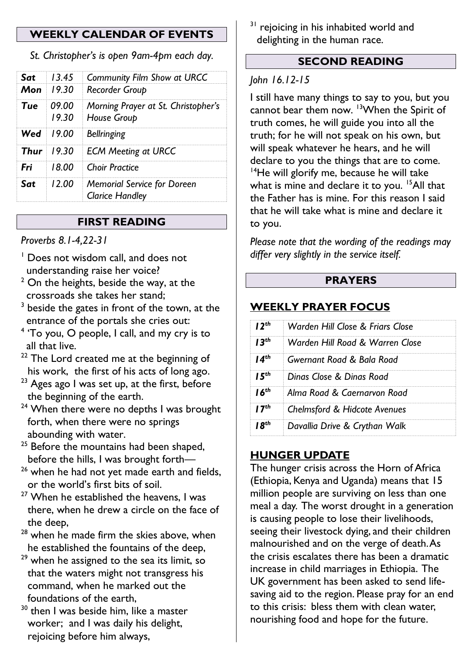#### **WEEKLY CALENDAR OF EVENTS**

*St. Christopher's is open 9am-4pm each day.*

|     |                  | <b>Sat</b> 13.45 Community Film Show at URCC                 |
|-----|------------------|--------------------------------------------------------------|
|     | Mon $19.30$      | Recorder Group                                               |
|     | $T$ ue $09.00$   | Morning Prayer at St. Christopher's<br>19.30 House Group     |
|     | <b>Wed</b> 19.00 | Bellringing                                                  |
|     |                  | <b>Thur</b>   19.30   ECM Meeting at URCC                    |
| Fri |                  | 18.00 Choir Practice                                         |
| Sat | 12.00            | <b>Memorial Service for Doreen</b><br><b>Clarice Handley</b> |

#### **FIRST READING**

*Proverbs 8.1-4,22-31*

- <sup>1</sup> Does not wisdom call, and does not understanding raise her voice?
- $2$  On the heights, beside the way, at the crossroads she takes her stand;
- <sup>3</sup> beside the gates in front of the town, at the entrance of the portals she cries out:
- <sup>4</sup> 'To you, O people, I call, and my cry is to all that live.
- $22$  The Lord created me at the beginning of his work, the first of his acts of long ago.
- <sup>23</sup> Ages ago I was set up, at the first, before the beginning of the earth.
- <sup>24</sup> When there were no depths I was brought forth, when there were no springs abounding with water.
- $25$  Before the mountains had been shaped. before the hills, I was brought forth—
- <sup>26</sup> when he had not yet made earth and fields, or the world's first bits of soil.
- $27$  When he established the heavens. I was there, when he drew a circle on the face of the deep,
- $28$  when he made firm the skies above, when he established the fountains of the deep,
- $29$  when he assigned to the sea its limit, so that the waters might not transgress his command, when he marked out the foundations of the earth,
- $30$  then I was beside him, like a master worker; and I was daily his delight, rejoicing before him always,

<sup>31</sup> rejoicing in his inhabited world and delighting in the human race.

#### **SECOND READING**

#### *John 16.12-15*

I still have many things to say to you, but you cannot bear them now. <sup>13</sup>When the Spirit of truth comes, he will guide you into all the truth; for he will not speak on his own, but will speak whatever he hears, and he will declare to you the things that are to come. <sup>14</sup>He will glorify me, because he will take what is mine and declare it to you. <sup>15</sup>All that the Father has is mine. For this reason I said that he will take what is mine and declare it to you.

*Please note that the wording of the readings may differ very slightly in the service itself.*

#### **PRAYERS**

# **WEEKLY PRAYER FOCUS**

| 12 <sup>th</sup> | Warden Hill Close & Friars Close        |  |
|------------------|-----------------------------------------|--|
| I Jth            | Warden Hill Road & Warren Close         |  |
| 14 <sup>th</sup> | Gwernant Road & Bala Road               |  |
| I5th             | Dinas Close & Dinas Road                |  |
| l ∡th            | Alma Road & Caernarvon Road             |  |
| 17 <sup>th</sup> | <b>Chelmsford &amp; Hidcote Avenues</b> |  |
|                  | Davallia Drive & Crythan Walk           |  |

# **HUNGER UPDATE**

The hunger crisis across the Horn of Africa (Ethiopia, Kenya and Uganda) means that 15 million people are surviving on less than one meal a day. The worst drought in a generation is causing people to lose their livelihoods, seeing their livestock dying, and their children malnourished and on the verge of death. As the crisis escalates there has been a dramatic increase in child marriages in Ethiopia. The UK government has been asked to send lifesaving aid to the region. Please pray for an end to this crisis: bless them with clean water, nourishing food and hope for the future.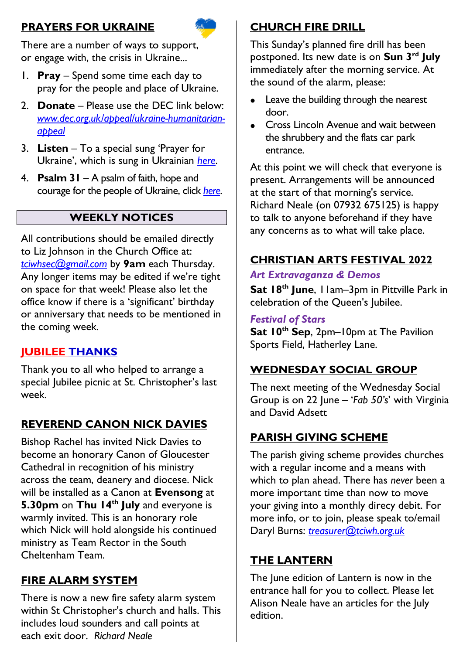# **PRAYERS FOR UKRAINE**



There are a number of ways to support, or engage with, the crisis in Ukraine...

- 1. **Pray** Spend some time each day to pray for the people and place of Ukraine.
- 2. **Donate** Please use the DEC link below: *[www.dec.org.uk/appeal/ukraine-humanitarian](http://www.dec.org.uk/appeal/ukraine-humanitarian-appeal)[appeal](http://www.dec.org.uk/appeal/ukraine-humanitarian-appeal)*
- 3. **Listen** To a special sung 'Prayer for Ukraine', which is sung in Ukrainian *[here](https://stpetersleck.org/wp-content/uploads/2022/03/Prayer-for-Ukraine_St-Peters-Choir_MP3.mp3)*.
- 4. **Psalm 31** A psalm of faith, hope and courage for the people of Ukraine, click *[here](https://stpetersleck.org/psalm_31_ukraine-720p/)*.

# **WEEKLY NOTICES**

All contributions should be emailed directly to Liz Johnson in the Church Office at: *[tciwhsec@gmail.com](mailto:tciwhsec@gmail.com)* by **9am** each Thursday. Any longer items may be edited if we're tight on space for that week! Please also let the office know if there is a 'significant' birthday or anniversary that needs to be mentioned in the coming week.

# **JUBILEE THANKS**

Thank you to all who helped to arrange a special Jubilee picnic at St. Christopher's last week.

# **REVEREND CANON NICK DAVIES**

Bishop Rachel has invited Nick Davies to become an honorary Canon of Gloucester Cathedral in recognition of his ministry across the team, deanery and diocese. Nick will be installed as a Canon at **Evensong** at **5.30pm** on **Thu 14th July** and everyone is warmly invited. This is an honorary role which Nick will hold alongside his continued ministry as Team Rector in the South Cheltenham Team.

# **FIRE ALARM SYSTEM**

There is now a new fire safety alarm system within St Christopher's church and halls. This includes loud sounders and call points at each exit door. *Richard Neale*

# **CHURCH FIRE DRILL**

This Sunday's planned fire drill has been postponed. Its new date is on **Sun 3 rd July** immediately after the morning service. At the sound of the alarm, please:

- Leave the building through the nearest door.
- Cross Lincoln Avenue and wait between the shrubbery and the flats car park entrance.

At this point we will check that everyone is present. Arrangements will be announced at the start of that morning's service. Richard Neale (on 07932 675125) is happy to talk to anyone beforehand if they have any concerns as to what will take place.

# **CHRISTIAN ARTS FESTIVAL 2022**

#### *Art Extravaganza & Demos*

**Sat 18th June**, 11am–3pm in Pittville Park in celebration of the Queen's Jubilee.

#### *Festival of Stars*

**Sat 10th Sep**, 2pm–10pm at The Pavilion Sports Field, Hatherley Lane.

# **WEDNESDAY SOCIAL GROUP**

The next meeting of the Wednesday Social Group is on 22 June – '*Fab 50's*' with Virginia and David Adsett

# **PARISH GIVING SCHEME**

The parish giving scheme provides churches with a regular income and a means with which to plan ahead. There has *never* been a more important time than now to move your giving into a monthly direcy debit. For more info, or to join, please speak to/email Daryl Burns: *[treasurer@tciwh.org.uk](mailto:treasurer@tciwh.org.uk)*

# **THE LANTERN**

The June edition of Lantern is now in the entrance hall for you to collect. Please let Alison Neale have an articles for the July edition.